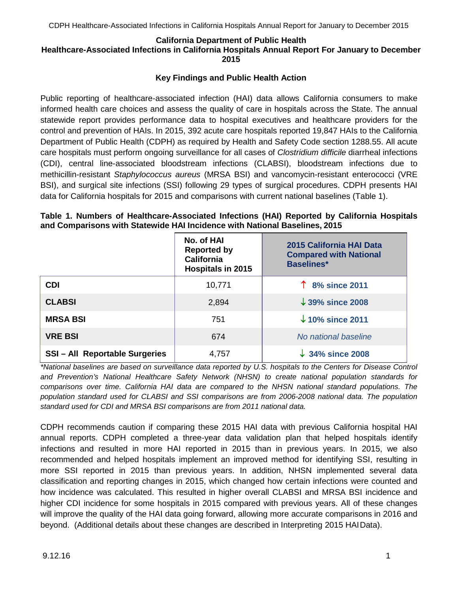### **California Department of Public Health**

#### **Healthcare-Associated Infections in California Hospitals Annual Report For January to December 2015**

### **Key Findings and Public Health Action**

Public reporting of healthcare-associated infection (HAI) data allows California consumers to make informed health care choices and assess the quality of care in hospitals across the State. The annual statewide report provides performance data to hospital executives and healthcare providers for the control and prevention of HAIs. In 2015, 392 acute care hospitals reported 19,847 HAIs to the California Department of Public Health (CDPH) as required by Health and Safety Code section 1288.55. All acute care hospitals must perform ongoing surveillance for all cases of *Clostridium difficile* diarrheal infections (CDI), central line-associated bloodstream infections (CLABSI), bloodstream infections due to methicillin-resistant *Staphylococcus aureus* (MRSA BSI) and vancomycin-resistant enterococci (VRE BSI), and surgical site infections (SSI) following 29 types of surgical procedures. CDPH presents HAI data for California hospitals for 2015 and comparisons with current national baselines (Table 1).

### **Table 1. Numbers of Healthcare-Associated Infections (HAI) Reported by California Hospitals and Comparisons with Statewide HAI Incidence with National Baselines, 2015**

|                                     | No. of HAI<br><b>Reported by</b><br><b>California</b><br>Hospitals in 2015 | 2015 California HAI Data<br><b>Compared with National</b><br><b>Baselines*</b> |
|-------------------------------------|----------------------------------------------------------------------------|--------------------------------------------------------------------------------|
| <b>CDI</b>                          | 10,771                                                                     | 1 8% since 2011                                                                |
| <b>CLABSI</b>                       | 2,894                                                                      | $\downarrow$ 39% since 2008                                                    |
| <b>MRSA BSI</b>                     | 751                                                                        | $\downarrow$ 10% since 2011                                                    |
| <b>VRE BSI</b>                      | 674                                                                        | No national baseline                                                           |
| <b>SSI-All Reportable Surgeries</b> | 4,757                                                                      | $\downarrow$ 34% since 2008                                                    |

*\*National baselines are based on surveillance data reported by U.S. hospitals to the Centers for Disease Control and Prevention's National Healthcare Safety Network (NHSN) to create national population standards for comparisons over time. California HAI data are compared to the NHSN national standard populations. The population standard used for CLABSI and SSI comparisons are from 2006-2008 national data. The population standard used for CDI and MRSA BSI comparisons are from 2011 national data.*

CDPH recommends caution if comparing these 2015 HAI data with previous California hospital HAI annual reports. CDPH completed a three-year data validation plan that helped hospitals identify infections and resulted in more HAI reported in 2015 than in previous years. In 2015, we also recommended and helped hospitals implement an improved method for identifying SSI, resulting in more SSI reported in 2015 than previous years. In addition, NHSN implemented several data classification and reporting changes in 2015, which changed how certain infections were counted and how incidence was calculated. This resulted in higher overall CLABSI and MRSA BSI incidence and higher CDI incidence for some hospitals in 2015 compared with previous years. All of these changes will improve the quality of the HAI data going forward, allowing more accurate comparisons in 2016 and beyond. (Additional details about these changes are described in Interpreting 2015 HAIData).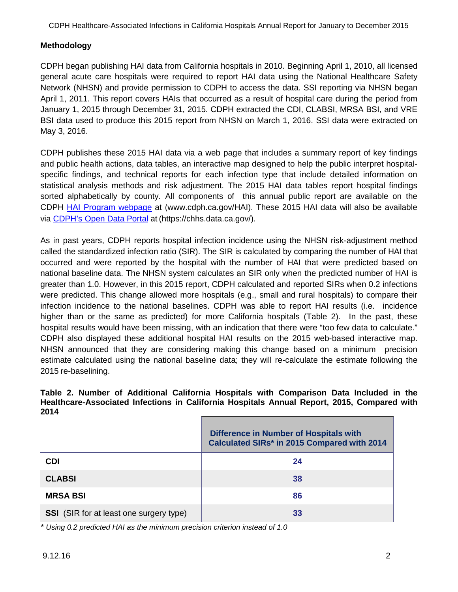## **Methodology**

CDPH began publishing HAI data from California hospitals in 2010. Beginning April 1, 2010, all licensed general acute care hospitals were required to report HAI data using the National Healthcare Safety Network (NHSN) and provide permission to CDPH to access the data. SSI reporting via NHSN began April 1, 2011. This report covers HAIs that occurred as a result of hospital care during the period from January 1, 2015 through December 31, 2015. CDPH extracted the CDI, CLABSI, MRSA BSI, and VRE BSI data used to produce this 2015 report from NHSN on March 1, 2016. SSI data were extracted on May 3, 2016.

CDPH publishes these 2015 HAI data via a web page that includes a summary report of key findings and public health actions, data tables, an interactive map designed to help the public interpret hospitalspecific findings, and technical reports for each infection type that include detailed information on statistical analysis methods and risk adjustment. The 2015 HAI data tables report hospital findings sorted alphabetically by county. All components of this annual public report are available on the CDPH [HAI Program webpage](http://www.cdph.ca.gov/programs/hai/Pages/default.aspx) at ([www.cdph.ca.gov/HAI\). T](http://www.cdph.ca.gov/HAI))hese 2015 HAI data will also be available via [CDPH's Open Data Portal](https://chhs.data.ca.gov/) at (https://chhs.data.ca.gov/).

As in past years, CDPH reports hospital infection incidence using the NHSN risk-adjustment method called the standardized infection ratio (SIR). The SIR is calculated by comparing the number of HAI that occurred and were reported by the hospital with the number of HAI that were predicted based on national baseline data. The NHSN system calculates an SIR only when the predicted number of HAI is greater than 1.0. However, in this 2015 report, CDPH calculated and reported SIRs when 0.2 infections were predicted. This change allowed more hospitals (e.g., small and rural hospitals) to compare their infection incidence to the national baselines. CDPH was able to report HAI results (i.e. incidence higher than or the same as predicted) for more California hospitals (Table 2). In the past, these hospital results would have been missing, with an indication that there were "too few data to calculate." CDPH also displayed these additional hospital HAI results on the 2015 web-based interactive map. NHSN announced that they are considering making this change based on a minimum precision estimate calculated using the national baseline data; they will re-calculate the estimate following the 2015 re-baselining.

#### **Table 2. Number of Additional California Hospitals with Comparison Data Included in the Healthcare-Associated Infections in California Hospitals Annual Report, 2015, Compared with 2014**

|                                                | <b>Difference in Number of Hospitals with</b><br>Calculated SIRs* in 2015 Compared with 2014 |
|------------------------------------------------|----------------------------------------------------------------------------------------------|
| <b>CDI</b>                                     | 24                                                                                           |
| <b>CLABSI</b>                                  | 38                                                                                           |
| <b>MRSA BSI</b>                                | 86                                                                                           |
| <b>SSI</b> (SIR for at least one surgery type) | 33                                                                                           |

*\* Using 0.2 predicted HAI as the minimum precision criterion instead of 1.0*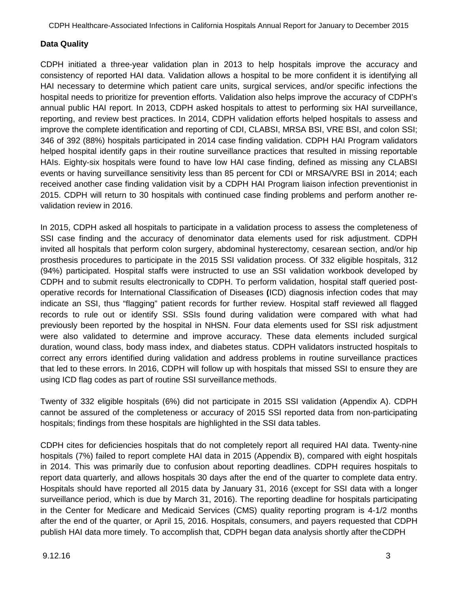# **Data Quality**

CDPH initiated a three-year validation plan in 2013 to help hospitals improve the accuracy and consistency of reported HAI data. Validation allows a hospital to be more confident it is identifying all HAI necessary to determine which patient care units, surgical services, and/or specific infections the hospital needs to prioritize for prevention efforts. Validation also helps improve the accuracy of CDPH's annual public HAI report. In 2013, CDPH asked hospitals to attest to performing six HAI surveillance, reporting, and review best practices. In 2014, CDPH validation efforts helped hospitals to assess and improve the complete identification and reporting of CDI, CLABSI, MRSA BSI, VRE BSI, and colon SSI; 346 of 392 (88%) hospitals participated in 2014 case finding validation. CDPH HAI Program validators helped hospital identify gaps in their routine surveillance practices that resulted in missing reportable HAIs. Eighty-six hospitals were found to have low HAI case finding, defined as missing any CLABSI events or having surveillance sensitivity less than 85 percent for CDI or MRSA/VRE BSI in 2014; each received another case finding validation visit by a CDPH HAI Program liaison infection preventionist in 2015. CDPH will return to 30 hospitals with continued case finding problems and perform another revalidation review in 2016.

In 2015, CDPH asked all hospitals to participate in a validation process to assess the completeness of SSI case finding and the accuracy of denominator data elements used for risk adjustment. CDPH invited all hospitals that perform colon surgery, abdominal hysterectomy, cesarean section, and/or hip prosthesis procedures to participate in the 2015 SSI validation process. Of 332 eligible hospitals, 312 (94%) participated. Hospital staffs were instructed to use an SSI validation workbook developed by CDPH and to submit results electronically to CDPH. To perform validation, hospital staff queried postoperative records for International Classification of Diseases **(**ICD) diagnosis infection codes that may indicate an SSI, thus "flagging" patient records for further review. Hospital staff reviewed all flagged records to rule out or identify SSI. SSIs found during validation were compared with what had previously been reported by the hospital in NHSN. Four data elements used for SSI risk adjustment were also validated to determine and improve accuracy. These data elements included surgical duration, wound class, body mass index, and diabetes status. CDPH validators instructed hospitals to correct any errors identified during validation and address problems in routine surveillance practices that led to these errors. In 2016, CDPH will follow up with hospitals that missed SSI to ensure they are using ICD flag codes as part of routine SSI surveillance methods.

Twenty of 332 eligible hospitals (6%) did not participate in 2015 SSI validation (Appendix A). CDPH cannot be assured of the completeness or accuracy of 2015 SSI reported data from non-participating hospitals; findings from these hospitals are highlighted in the SSI data tables.

CDPH cites for deficiencies hospitals that do not completely report all required HAI data. Twenty-nine hospitals (7%) failed to report complete HAI data in 2015 (Appendix B), compared with eight hospitals in 2014. This was primarily due to confusion about reporting deadlines. CDPH requires hospitals to report data quarterly, and allows hospitals 30 days after the end of the quarter to complete data entry. Hospitals should have reported all 2015 data by January 31, 2016 (except for SSI data with a longer surveillance period, which is due by March 31, 2016). The reporting deadline for hospitals participating in the Center for Medicare and Medicaid Services (CMS) quality reporting program is 4-1/2 months after the end of the quarter, or April 15, 2016. Hospitals, consumers, and payers requested that CDPH publish HAI data more timely. To accomplish that, CDPH began data analysis shortly after theCDPH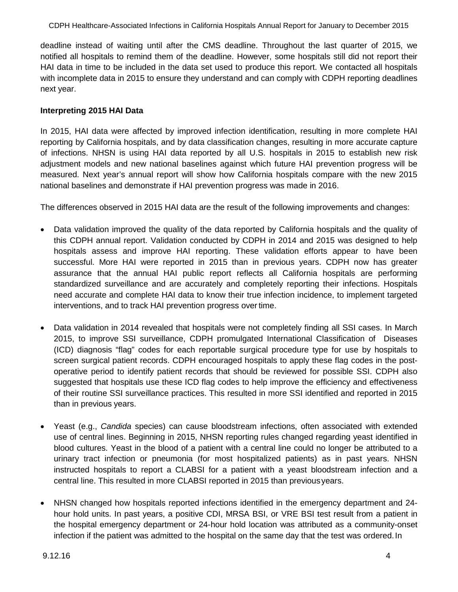deadline instead of waiting until after the CMS deadline. Throughout the last quarter of 2015, we notified all hospitals to remind them of the deadline. However, some hospitals still did not report their HAI data in time to be included in the data set used to produce this report. We contacted all hospitals with incomplete data in 2015 to ensure they understand and can comply with CDPH reporting deadlines next year.

## **Interpreting 2015 HAI Data**

In 2015, HAI data were affected by improved infection identification, resulting in more complete HAI reporting by California hospitals, and by data classification changes, resulting in more accurate capture of infections. NHSN is using HAI data reported by all U.S. hospitals in 2015 to establish new risk adjustment models and new national baselines against which future HAI prevention progress will be measured. Next year's annual report will show how California hospitals compare with the new 2015 national baselines and demonstrate if HAI prevention progress was made in 2016.

The differences observed in 2015 HAI data are the result of the following improvements and changes:

- Data validation improved the quality of the data reported by California hospitals and the quality of this CDPH annual report. Validation conducted by CDPH in 2014 and 2015 was designed to help hospitals assess and improve HAI reporting. These validation efforts appear to have been successful. More HAI were reported in 2015 than in previous years. CDPH now has greater assurance that the annual HAI public report reflects all California hospitals are performing standardized surveillance and are accurately and completely reporting their infections. Hospitals need accurate and complete HAI data to know their true infection incidence, to implement targeted interventions, and to track HAI prevention progress over time.
- Data validation in 2014 revealed that hospitals were not completely finding all SSI cases. In March 2015, to improve SSI surveillance, CDPH promulgated International Classification of Diseases (ICD) diagnosis "flag" codes for each reportable surgical procedure type for use by hospitals to screen surgical patient records. CDPH encouraged hospitals to apply these flag codes in the postoperative period to identify patient records that should be reviewed for possible SSI. CDPH also suggested that hospitals use these ICD flag codes to help improve the efficiency and effectiveness of their routine SSI surveillance practices. This resulted in more SSI identified and reported in 2015 than in previous years.
- Yeast (e.g., *Candida* species) can cause bloodstream infections, often associated with extended use of central lines. Beginning in 2015, NHSN reporting rules changed regarding yeast identified in blood cultures. Yeast in the blood of a patient with a central line could no longer be attributed to a urinary tract infection or pneumonia (for most hospitalized patients) as in past years. NHSN instructed hospitals to report a CLABSI for a patient with a yeast bloodstream infection and a central line. This resulted in more CLABSI reported in 2015 than previousyears.
- NHSN changed how hospitals reported infections identified in the emergency department and 24 hour hold units. In past years, a positive CDI, MRSA BSI, or VRE BSI test result from a patient in the hospital emergency department or 24-hour hold location was attributed as a community-onset infection if the patient was admitted to the hospital on the same day that the test was ordered.In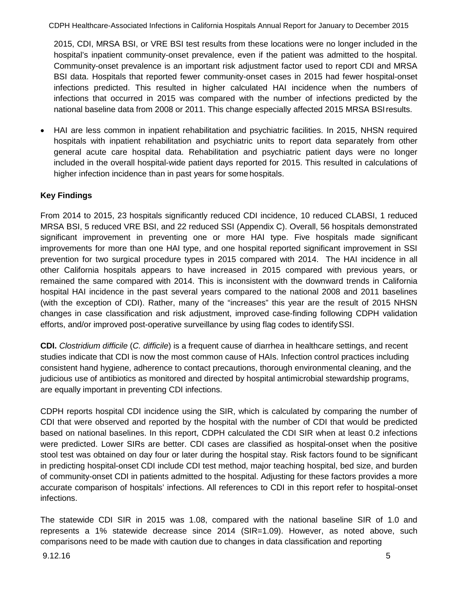2015, CDI, MRSA BSI, or VRE BSI test results from these locations were no longer included in the hospital's inpatient community-onset prevalence, even if the patient was admitted to the hospital. Community-onset prevalence is an important risk adjustment factor used to report CDI and MRSA BSI data. Hospitals that reported fewer community-onset cases in 2015 had fewer hospital-onset infections predicted. This resulted in higher calculated HAI incidence when the numbers of infections that occurred in 2015 was compared with the number of infections predicted by the national baseline data from 2008 or 2011. This change especially affected 2015 MRSA BSIresults.

• HAI are less common in inpatient rehabilitation and psychiatric facilities. In 2015, NHSN required hospitals with inpatient rehabilitation and psychiatric units to report data separately from other general acute care hospital data. Rehabilitation and psychiatric patient days were no longer included in the overall hospital-wide patient days reported for 2015. This resulted in calculations of higher infection incidence than in past years for some hospitals.

# **Key Findings**

From 2014 to 2015, 23 hospitals significantly reduced CDI incidence, 10 reduced CLABSI, 1 reduced MRSA BSI, 5 reduced VRE BSI, and 22 reduced SSI (Appendix C). Overall, 56 hospitals demonstrated significant improvement in preventing one or more HAI type. Five hospitals made significant improvements for more than one HAI type, and one hospital reported significant improvement in SSI prevention for two surgical procedure types in 2015 compared with 2014. The HAI incidence in all other California hospitals appears to have increased in 2015 compared with previous years, or remained the same compared with 2014. This is inconsistent with the downward trends in California hospital HAI incidence in the past several years compared to the national 2008 and 2011 baselines (with the exception of CDI). Rather, many of the "increases" this year are the result of 2015 NHSN changes in case classification and risk adjustment, improved case-finding following CDPH validation efforts, and/or improved post-operative surveillance by using flag codes to identifySSI.

**CDI.** *Clostridium difficile* (*C. difficile*) is a frequent cause of diarrhea in healthcare settings, and recent studies indicate that CDI is now the most common cause of HAIs. Infection control practices including consistent hand hygiene, adherence to contact precautions, thorough environmental cleaning, and the judicious use of antibiotics as monitored and directed by hospital antimicrobial stewardship programs, are equally important in preventing CDI infections.

CDPH reports hospital CDI incidence using the SIR, which is calculated by comparing the number of CDI that were observed and reported by the hospital with the number of CDI that would be predicted based on national baselines. In this report, CDPH calculated the CDI SIR when at least 0.2 infections were predicted. Lower SIRs are better. CDI cases are classified as hospital-onset when the positive stool test was obtained on day four or later during the hospital stay. Risk factors found to be significant in predicting hospital-onset CDI include CDI test method, major teaching hospital, bed size, and burden of community-onset CDI in patients admitted to the hospital. Adjusting for these factors provides a more accurate comparison of hospitals' infections. All references to CDI in this report refer to hospital-onset infections.

The statewide CDI SIR in 2015 was 1.08, compared with the national baseline SIR of 1.0 and represents a 1% statewide decrease since 2014 (SIR=1.09). However, as noted above, such comparisons need to be made with caution due to changes in data classification and reporting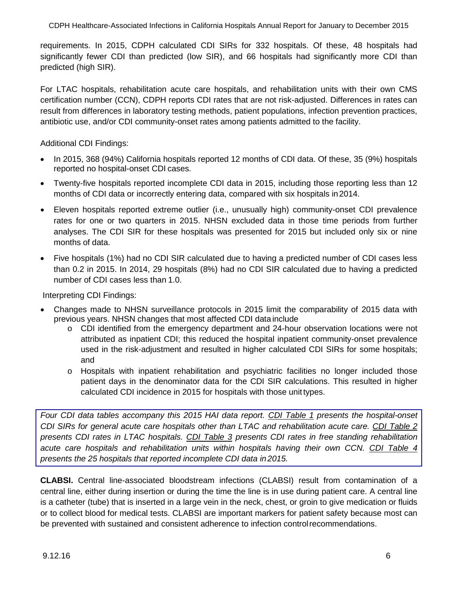requirements. In 2015, CDPH calculated CDI SIRs for 332 hospitals. Of these, 48 hospitals had significantly fewer CDI than predicted (low SIR), and 66 hospitals had significantly more CDI than predicted (high SIR).

For LTAC hospitals, rehabilitation acute care hospitals, and rehabilitation units with their own CMS certification number (CCN), CDPH reports CDI rates that are not risk-adjusted. Differences in rates can result from differences in laboratory testing methods, patient populations, infection prevention practices, antibiotic use, and/or CDI community-onset rates among patients admitted to the facility.

Additional CDI Findings:

- In 2015, 368 (94%) California hospitals reported 12 months of CDI data. Of these, 35 (9%) hospitals reported no hospital-onset CDI cases.
- Twenty-five hospitals reported incomplete CDI data in 2015, including those reporting less than 12 months of CDI data or incorrectly entering data, compared with six hospitals in2014.
- Eleven hospitals reported extreme outlier (i.e., unusually high) community-onset CDI prevalence rates for one or two quarters in 2015. NHSN excluded data in those time periods from further analyses. The CDI SIR for these hospitals was presented for 2015 but included only six or nine months of data.
- Five hospitals (1%) had no CDI SIR calculated due to having a predicted number of CDI cases less than 0.2 in 2015. In 2014, 29 hospitals (8%) had no CDI SIR calculated due to having a predicted number of CDI cases less than 1.0.

Interpreting CDI Findings:

- Changes made to NHSN surveillance protocols in 2015 limit the comparability of 2015 data with previous years. NHSN changes that most affected CDI data include
	- o CDI identified from the emergency department and 24-hour observation locations were not attributed as inpatient CDI; this reduced the hospital inpatient community-onset prevalence used in the risk-adjustment and resulted in higher calculated CDI SIRs for some hospitals; and
	- o Hospitals with inpatient rehabilitation and psychiatric facilities no longer included those patient days in the denominator data for the CDI SIR calculations. This resulted in higher calculated CDI incidence in 2015 for hospitals with those unittypes.

*Four CDI data tables accompany this 2015 HAI data report. CDI Table 1 presents the hospital-onset CDI SIRs for general acute care hospitals other than LTAC and rehabilitation acute care. CDI Table 2 presents CDI rates in LTAC hospitals. CDI Table 3 presents CDI rates in free standing rehabilitation acute care hospitals and rehabilitation units within hospitals having their own CCN. CDI Table 4 presents the 25 hospitals that reported incomplete CDI data in2015.*

**CLABSI.** Central line-associated bloodstream infections (CLABSI) result from contamination of a central line, either during insertion or during the time the line is in use during patient care. A central line is a catheter (tube) that is inserted in a large vein in the neck, chest, or groin to give medication or fluids or to collect blood for medical tests. CLABSI are important markers for patient safety because most can be prevented with sustained and consistent adherence to infection controlrecommendations.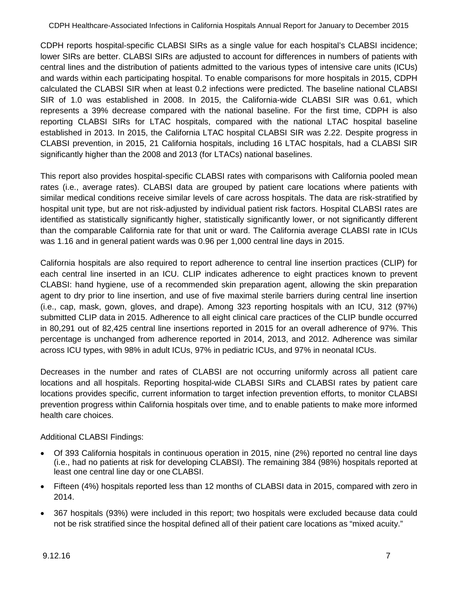CDPH reports hospital-specific CLABSI SIRs as a single value for each hospital's CLABSI incidence; lower SIRs are better. CLABSI SIRs are adjusted to account for differences in numbers of patients with central lines and the distribution of patients admitted to the various types of intensive care units (ICUs) and wards within each participating hospital. To enable comparisons for more hospitals in 2015, CDPH calculated the CLABSI SIR when at least 0.2 infections were predicted. The baseline national CLABSI SIR of 1.0 was established in 2008. In 2015, the California-wide CLABSI SIR was 0.61, which represents a 39% decrease compared with the national baseline. For the first time, CDPH is also reporting CLABSI SIRs for LTAC hospitals, compared with the national LTAC hospital baseline established in 2013. In 2015, the California LTAC hospital CLABSI SIR was 2.22. Despite progress in CLABSI prevention, in 2015, 21 California hospitals, including 16 LTAC hospitals, had a CLABSI SIR significantly higher than the 2008 and 2013 (for LTACs) national baselines.

This report also provides hospital-specific CLABSI rates with comparisons with California pooled mean rates (i.e., average rates). CLABSI data are grouped by patient care locations where patients with similar medical conditions receive similar levels of care across hospitals. The data are risk-stratified by hospital unit type, but are not risk-adjusted by individual patient risk factors. Hospital CLABSI rates are identified as statistically significantly higher, statistically significantly lower, or not significantly different than the comparable California rate for that unit or ward. The California average CLABSI rate in ICUs was 1.16 and in general patient wards was 0.96 per 1,000 central line days in 2015.

California hospitals are also required to report adherence to central line insertion practices (CLIP) for each central line inserted in an ICU. CLIP indicates adherence to eight practices known to prevent CLABSI: hand hygiene, use of a recommended skin preparation agent, allowing the skin preparation agent to dry prior to line insertion, and use of five maximal sterile barriers during central line insertion (i.e., cap, mask, gown, gloves, and drape). Among 323 reporting hospitals with an ICU, 312 (97%) submitted CLIP data in 2015. Adherence to all eight clinical care practices of the CLIP bundle occurred in 80,291 out of 82,425 central line insertions reported in 2015 for an overall adherence of 97%. This percentage is unchanged from adherence reported in 2014, 2013, and 2012. Adherence was similar across ICU types, with 98% in adult ICUs, 97% in pediatric ICUs, and 97% in neonatal ICUs.

Decreases in the number and rates of CLABSI are not occurring uniformly across all patient care locations and all hospitals. Reporting hospital-wide CLABSI SIRs and CLABSI rates by patient care locations provides specific, current information to target infection prevention efforts, to monitor CLABSI prevention progress within California hospitals over time, and to enable patients to make more informed health care choices.

### Additional CLABSI Findings:

- Of 393 California hospitals in continuous operation in 2015, nine (2%) reported no central line days (i.e., had no patients at risk for developing CLABSI). The remaining 384 (98%) hospitals reported at least one central line day or one CLABSI.
- Fifteen (4%) hospitals reported less than 12 months of CLABSI data in 2015, compared with zero in 2014.
- 367 hospitals (93%) were included in this report; two hospitals were excluded because data could not be risk stratified since the hospital defined all of their patient care locations as "mixed acuity."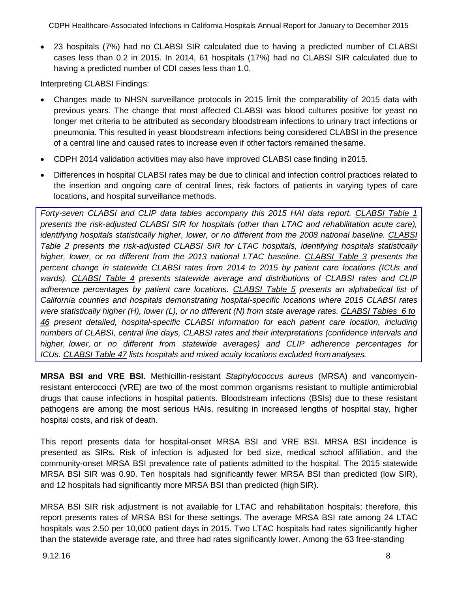• 23 hospitals (7%) had no CLABSI SIR calculated due to having a predicted number of CLABSI cases less than 0.2 in 2015. In 2014, 61 hospitals (17%) had no CLABSI SIR calculated due to having a predicted number of CDI cases less than 1.0.

Interpreting CLABSI Findings:

- Changes made to NHSN surveillance protocols in 2015 limit the comparability of 2015 data with previous years. The change that most affected CLABSI was blood cultures positive for yeast no longer met criteria to be attributed as secondary bloodstream infections to urinary tract infections or pneumonia. This resulted in yeast bloodstream infections being considered CLABSI in the presence of a central line and caused rates to increase even if other factors remained thesame.
- CDPH 2014 validation activities may also have improved CLABSI case finding in2015.
- Differences in hospital CLABSI rates may be due to clinical and infection control practices related to the insertion and ongoing care of central lines, risk factors of patients in varying types of care locations, and hospital surveillance methods.

*Forty-seven CLABSI and CLIP data tables accompany this 2015 HAI data report. CLABSI Table 1 presents the risk-adjusted CLABSI SIR for hospitals (other than LTAC and rehabilitation acute care), identifying hospitals statistically higher, lower, or no different from the 2008 national baseline. CLABSI Table 2 presents the risk-adjusted CLABSI SIR for LTAC hospitals, identifying hospitals statistically higher, lower, or no different from the 2013 national LTAC baseline. CLABSI Table 3 presents the percent change in statewide CLABSI rates from 2014 to 2015 by patient care locations (ICUs and wards). CLABSI Table 4 presents statewide average and distributions of CLABSI rates and CLIP adherence percentages by patient care locations. CLABSI Table 5 presents an alphabetical list of California counties and hospitals demonstrating hospital-specific locations where 2015 CLABSI rates were statistically higher (H), lower (L), or no different (N) from state average rates. CLABSI Tables 6 to 46 present detailed, hospital-specific CLABSI information for each patient care location, including numbers of CLABSI, central line days, CLABSI rates and their interpretations (confidence intervals and higher, lower, or no different from statewide averages) and CLIP adherence percentages for ICUs. CLABSI Table 47 lists hospitals and mixed acuity locations excluded fromanalyses.*

**MRSA BSI and VRE BSI.** Methicillin-resistant *Staphylococcus aureus* (MRSA) and vancomycinresistant enterococci (VRE) are two of the most common organisms resistant to multiple antimicrobial drugs that cause infections in hospital patients. Bloodstream infections (BSIs) due to these resistant pathogens are among the most serious HAIs, resulting in increased lengths of hospital stay, higher hospital costs, and risk of death.

This report presents data for hospital-onset MRSA BSI and VRE BSI. MRSA BSI incidence is presented as SIRs. Risk of infection is adjusted for bed size, medical school affiliation, and the community-onset MRSA BSI prevalence rate of patients admitted to the hospital. The 2015 statewide MRSA BSI SIR was 0.90. Ten hospitals had significantly fewer MRSA BSI than predicted (low SIR), and 12 hospitals had significantly more MRSA BSI than predicted (high SIR).

MRSA BSI SIR risk adjustment is not available for LTAC and rehabilitation hospitals; therefore, this report presents rates of MRSA BSI for these settings. The average MRSA BSI rate among 24 LTAC hospitals was 2.50 per 10,000 patient days in 2015. Two LTAC hospitals had rates significantly higher than the statewide average rate, and three had rates significantly lower. Among the 63 free-standing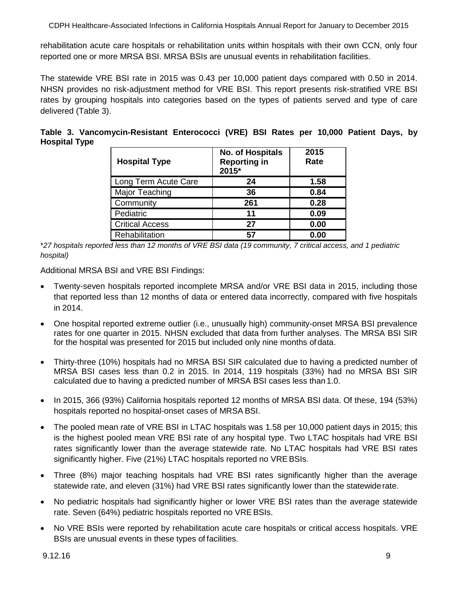rehabilitation acute care hospitals or rehabilitation units within hospitals with their own CCN, only four reported one or more MRSA BSI. MRSA BSIs are unusual events in rehabilitation facilities.

The statewide VRE BSI rate in 2015 was 0.43 per 10,000 patient days compared with 0.50 in 2014. NHSN provides no risk-adjustment method for VRE BSI. This report presents risk-stratified VRE BSI rates by grouping hospitals into categories based on the types of patients served and type of care delivered (Table 3).

|                      | Table 3. Vancomycin-Resistant Enterococci (VRE) BSI Rates per 10,000 Patient Days, by |  |  |  |  |  |
|----------------------|---------------------------------------------------------------------------------------|--|--|--|--|--|
| <b>Hospital Type</b> |                                                                                       |  |  |  |  |  |

| <b>Hospital Type</b>   | No. of Hospitals<br><b>Reporting in</b><br>2015* | 2015<br>Rate |
|------------------------|--------------------------------------------------|--------------|
| Long Term Acute Care   | 24                                               | 1.58         |
| Major Teaching         | 36                                               | 0.84         |
| Community              | 261                                              | 0.28         |
| Pediatric              | 11                                               | 0.09         |
| <b>Critical Access</b> | 27                                               | 0.00         |
| Rehabilitation         | 57                                               | 0.00         |

\**27 hospitals reported less than 12 months of VRE BSI data (19 community, 7 critical access, and 1 pediatric hospital)*

Additional MRSA BSI and VRE BSI Findings:

- Twenty-seven hospitals reported incomplete MRSA and/or VRE BSI data in 2015, including those that reported less than 12 months of data or entered data incorrectly, compared with five hospitals in 2014.
- One hospital reported extreme outlier (i.e., unusually high) community-onset MRSA BSI prevalence rates for one quarter in 2015. NHSN excluded that data from further analyses. The MRSA BSI SIR for the hospital was presented for 2015 but included only nine months of data.
- Thirty-three (10%) hospitals had no MRSA BSI SIR calculated due to having a predicted number of MRSA BSI cases less than 0.2 in 2015. In 2014, 119 hospitals (33%) had no MRSA BSI SIR calculated due to having a predicted number of MRSA BSI cases less than1.0.
- In 2015, 366 (93%) California hospitals reported 12 months of MRSA BSI data. Of these, 194 (53%) hospitals reported no hospital-onset cases of MRSA BSI.
- The pooled mean rate of VRE BSI in LTAC hospitals was 1.58 per 10,000 patient days in 2015; this is the highest pooled mean VRE BSI rate of any hospital type. Two LTAC hospitals had VRE BSI rates significantly lower than the average statewide rate. No LTAC hospitals had VRE BSI rates significantly higher. Five (21%) LTAC hospitals reported no VRE BSIs.
- Three (8%) major teaching hospitals had VRE BSI rates significantly higher than the average statewide rate, and eleven (31%) had VRE BSI rates significantly lower than the statewiderate.
- No pediatric hospitals had significantly higher or lower VRE BSI rates than the average statewide rate. Seven (64%) pediatric hospitals reported no VRE BSIs.
- No VRE BSIs were reported by rehabilitation acute care hospitals or critical access hospitals. VRE BSIs are unusual events in these types of facilities.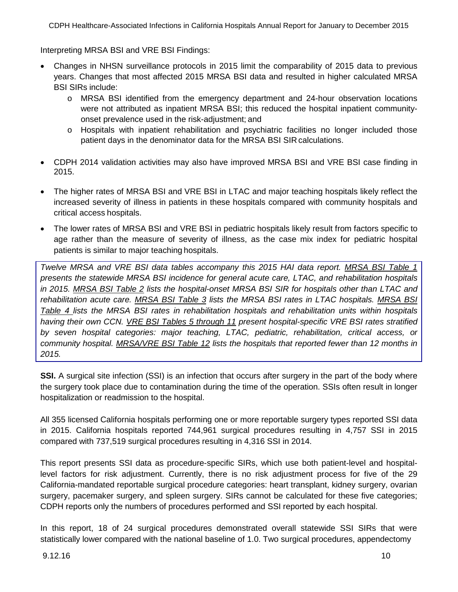Interpreting MRSA BSI and VRE BSI Findings:

- Changes in NHSN surveillance protocols in 2015 limit the comparability of 2015 data to previous years. Changes that most affected 2015 MRSA BSI data and resulted in higher calculated MRSA BSI SIRs include:
	- o MRSA BSI identified from the emergency department and 24-hour observation locations were not attributed as inpatient MRSA BSI; this reduced the hospital inpatient communityonset prevalence used in the risk-adjustment; and
	- o Hospitals with inpatient rehabilitation and psychiatric facilities no longer included those patient days in the denominator data for the MRSA BSI SIR calculations.
- CDPH 2014 validation activities may also have improved MRSA BSI and VRE BSI case finding in 2015.
- The higher rates of MRSA BSI and VRE BSI in LTAC and major teaching hospitals likely reflect the increased severity of illness in patients in these hospitals compared with community hospitals and critical access hospitals.
- The lower rates of MRSA BSI and VRE BSI in pediatric hospitals likely result from factors specific to age rather than the measure of severity of illness, as the case mix index for pediatric hospital patients is similar to major teaching hospitals.

*Twelve MRSA and VRE BSI data tables accompany this 2015 HAI data report. MRSA BSI Table 1 presents the statewide MRSA BSI incidence for general acute care, LTAC, and rehabilitation hospitals in 2015. MRSA BSI Table 2 lists the hospital-onset MRSA BSI SIR for hospitals other than LTAC and rehabilitation acute care. MRSA BSI Table 3 lists the MRSA BSI rates in LTAC hospitals. MRSA BSI Table 4 lists the MRSA BSI rates in rehabilitation hospitals and rehabilitation units within hospitals having their own CCN. VRE BSI Tables 5 through 11 present hospital-specific VRE BSI rates stratified by seven hospital categories: major teaching, LTAC, pediatric, rehabilitation, critical access, or community hospital. MRSA/VRE BSI Table 12 lists the hospitals that reported fewer than 12 months in 2015.*

**SSI.** A surgical site infection (SSI) is an infection that occurs after surgery in the part of the body where the surgery took place due to contamination during the time of the operation. SSIs often result in longer hospitalization or readmission to the hospital.

All 355 licensed California hospitals performing one or more reportable surgery types reported SSI data in 2015. California hospitals reported 744,961 surgical procedures resulting in 4,757 SSI in 2015 compared with 737,519 surgical procedures resulting in 4,316 SSI in 2014.

This report presents SSI data as procedure-specific SIRs, which use both patient-level and hospitallevel factors for risk adjustment. Currently, there is no risk adjustment process for five of the 29 California-mandated reportable surgical procedure categories: heart transplant, kidney surgery, ovarian surgery, pacemaker surgery, and spleen surgery. SIRs cannot be calculated for these five categories; CDPH reports only the numbers of procedures performed and SSI reported by each hospital.

In this report, 18 of 24 surgical procedures demonstrated overall statewide SSI SIRs that were statistically lower compared with the national baseline of 1.0. Two surgical procedures, appendectomy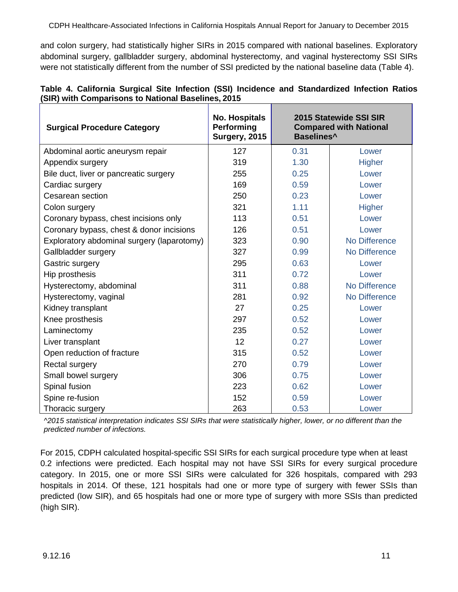and colon surgery, had statistically higher SIRs in 2015 compared with national baselines. Exploratory abdominal surgery, gallbladder surgery, abdominal hysterectomy, and vaginal hysterectomy SSI SIRs were not statistically different from the number of SSI predicted by the national baseline data (Table 4).

|                                                    |  |  |  | Table 4. California Surgical Site Infection (SSI) Incidence and Standardized Infection Ratios |  |
|----------------------------------------------------|--|--|--|-----------------------------------------------------------------------------------------------|--|
| (SIR) with Comparisons to National Baselines, 2015 |  |  |  |                                                                                               |  |

| <b>Surgical Procedure Category</b>         | <b>No. Hospitals</b><br>Performing<br>Surgery, 2015 | Baselines <sup>^</sup> | 2015 Statewide SSI SIR<br><b>Compared with National</b> |
|--------------------------------------------|-----------------------------------------------------|------------------------|---------------------------------------------------------|
| Abdominal aortic aneurysm repair           | 127                                                 | 0.31                   | Lower                                                   |
| Appendix surgery                           | 319                                                 | 1.30                   | <b>Higher</b>                                           |
| Bile duct, liver or pancreatic surgery     | 255                                                 | 0.25                   | Lower                                                   |
| Cardiac surgery                            | 169                                                 | 0.59                   | Lower                                                   |
| Cesarean section                           | 250                                                 | 0.23                   | Lower                                                   |
| Colon surgery                              | 321                                                 | 1.11                   | <b>Higher</b>                                           |
| Coronary bypass, chest incisions only      | 113                                                 | 0.51                   | Lower                                                   |
| Coronary bypass, chest & donor incisions   | 126                                                 | 0.51                   | Lower                                                   |
| Exploratory abdominal surgery (laparotomy) | 323                                                 | 0.90                   | No Difference                                           |
| Gallbladder surgery                        | 327                                                 | 0.99                   | No Difference                                           |
| Gastric surgery                            | 295                                                 | 0.63                   | Lower                                                   |
| Hip prosthesis                             | 311                                                 | 0.72                   | Lower                                                   |
| Hysterectomy, abdominal                    | 311                                                 | 0.88                   | No Difference                                           |
| Hysterectomy, vaginal                      | 281                                                 | 0.92                   | No Difference                                           |
| Kidney transplant                          | 27                                                  | 0.25                   | Lower                                                   |
| Knee prosthesis                            | 297                                                 | 0.52                   | Lower                                                   |
| Laminectomy                                | 235                                                 | 0.52                   | Lower                                                   |
| Liver transplant                           | 12                                                  | 0.27                   | Lower                                                   |
| Open reduction of fracture                 | 315                                                 | 0.52                   | Lower                                                   |
| Rectal surgery                             | 270                                                 | 0.79                   | Lower                                                   |
| Small bowel surgery                        | 306                                                 | 0.75                   | Lower                                                   |
| Spinal fusion                              | 223                                                 | 0.62                   | Lower                                                   |
| Spine re-fusion                            | 152                                                 | 0.59                   | Lower                                                   |
| Thoracic surgery                           | 263                                                 | 0.53                   | Lower                                                   |

*^2015 statistical interpretation indicates SSI SIRs that were statistically higher, lower, or no different than the predicted number of infections.*

For 2015, CDPH calculated hospital-specific SSI SIRs for each surgical procedure type when at least 0.2 infections were predicted. Each hospital may not have SSI SIRs for every surgical procedure category. In 2015, one or more SSI SIRs were calculated for 326 hospitals, compared with 293 hospitals in 2014. Of these, 121 hospitals had one or more type of surgery with fewer SSIs than predicted (low SIR), and 65 hospitals had one or more type of surgery with more SSIs than predicted (high SIR).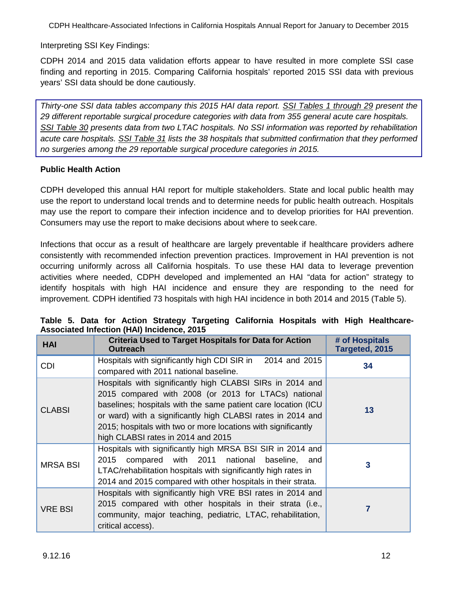Interpreting SSI Key Findings:

CDPH 2014 and 2015 data validation efforts appear to have resulted in more complete SSI case finding and reporting in 2015. Comparing California hospitals' reported 2015 SSI data with previous years' SSI data should be done cautiously.

*Thirty-one SSI data tables accompany this 2015 HAI data report. SSI Tables 1 through 29 present the 29 different reportable surgical procedure categories with data from 355 general acute care hospitals. SSI Table 30 presents data from two LTAC hospitals. No SSI information was reported by rehabilitation acute care hospitals. SSI Table 31 lists the 38 hospitals that submitted confirmation that they performed no surgeries among the 29 reportable surgical procedure categories in 2015.*

### **Public Health Action**

CDPH developed this annual HAI report for multiple stakeholders. State and local public health may use the report to understand local trends and to determine needs for public health outreach. Hospitals may use the report to compare their infection incidence and to develop priorities for HAI prevention. Consumers may use the report to make decisions about where to seek care.

Infections that occur as a result of healthcare are largely preventable if healthcare providers adhere consistently with recommended infection prevention practices. Improvement in HAI prevention is not occurring uniformly across all California hospitals. To use these HAI data to leverage prevention activities where needed, CDPH developed and implemented an HAI "data for action" strategy to identify hospitals with high HAI incidence and ensure they are responding to the need for improvement. CDPH identified 73 hospitals with high HAI incidence in both 2014 and 2015 (Table 5).

| <b>HAI</b>      | <b>Criteria Used to Target Hospitals for Data for Action</b><br><b>Outreach</b>                                                                                                                                                                                                                                                                          | # of Hospitals<br>Targeted, 2015 |
|-----------------|----------------------------------------------------------------------------------------------------------------------------------------------------------------------------------------------------------------------------------------------------------------------------------------------------------------------------------------------------------|----------------------------------|
| <b>CDI</b>      | Hospitals with significantly high CDI SIR in 2014 and 2015<br>compared with 2011 national baseline.                                                                                                                                                                                                                                                      | 34                               |
| <b>CLABSI</b>   | Hospitals with significantly high CLABSI SIRs in 2014 and<br>2015 compared with 2008 (or 2013 for LTACs) national<br>baselines; hospitals with the same patient care location (ICU<br>or ward) with a significantly high CLABSI rates in 2014 and<br>2015; hospitals with two or more locations with significantly<br>high CLABSI rates in 2014 and 2015 | 13                               |
| <b>MRSA BSI</b> | Hospitals with significantly high MRSA BSI SIR in 2014 and<br>2015 compared with 2011 national baseline, and<br>LTAC/rehabilitation hospitals with significantly high rates in<br>2014 and 2015 compared with other hospitals in their strata.                                                                                                           | 3                                |
| <b>VRE BSI</b>  | Hospitals with significantly high VRE BSI rates in 2014 and<br>2015 compared with other hospitals in their strata (i.e.,<br>community, major teaching, pediatric, LTAC, rehabilitation,<br>critical access).                                                                                                                                             |                                  |

|  |  |                                            |  |  | Table 5. Data for Action Strategy Targeting California Hospitals with High Healthcare- |
|--|--|--------------------------------------------|--|--|----------------------------------------------------------------------------------------|
|  |  | Associated Infection (HAI) Incidence, 2015 |  |  |                                                                                        |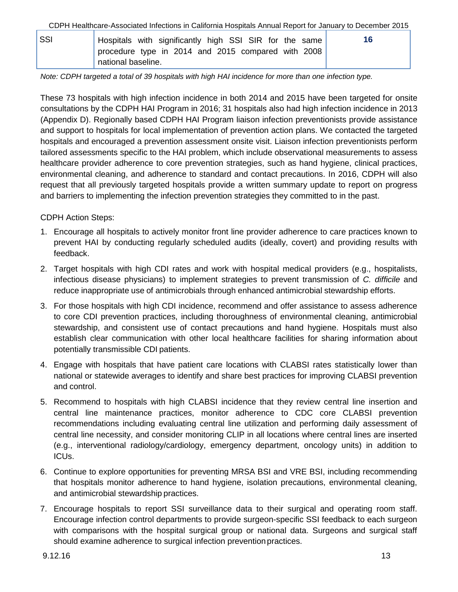| SSI | Hospitals with significantly high SSI SIR for the same                   | 16 |
|-----|--------------------------------------------------------------------------|----|
|     | procedure type in 2014 and 2015 compared with 2008<br>national baseline. |    |

*Note: CDPH targeted a total of 39 hospitals with high HAI incidence for more than one infection type.*

These 73 hospitals with high infection incidence in both 2014 and 2015 have been targeted for onsite consultations by the CDPH HAI Program in 2016; 31 hospitals also had high infection incidence in 2013 (Appendix D). Regionally based CDPH HAI Program liaison infection preventionists provide assistance and support to hospitals for local implementation of prevention action plans. We contacted the targeted hospitals and encouraged a prevention assessment onsite visit. Liaison infection preventionists perform tailored assessments specific to the HAI problem, which include observational measurements to assess healthcare provider adherence to core prevention strategies, such as hand hygiene, clinical practices, environmental cleaning, and adherence to standard and contact precautions. In 2016, CDPH will also request that all previously targeted hospitals provide a written summary update to report on progress and barriers to implementing the infection prevention strategies they committed to in the past.

CDPH Action Steps:

- 1. Encourage all hospitals to actively monitor front line provider adherence to care practices known to prevent HAI by conducting regularly scheduled audits (ideally, covert) and providing results with feedback.
- 2. Target hospitals with high CDI rates and work with hospital medical providers (e.g., hospitalists, infectious disease physicians) to implement strategies to prevent transmission of *C. difficile* and reduce inappropriate use of antimicrobials through enhanced antimicrobial stewardship efforts.
- 3. For those hospitals with high CDI incidence, recommend and offer assistance to assess adherence to core CDI prevention practices, including thoroughness of environmental cleaning, antimicrobial stewardship, and consistent use of contact precautions and hand hygiene. Hospitals must also establish clear communication with other local healthcare facilities for sharing information about potentially transmissible CDI patients.
- 4. Engage with hospitals that have patient care locations with CLABSI rates statistically lower than national or statewide averages to identify and share best practices for improving CLABSI prevention and control.
- 5. Recommend to hospitals with high CLABSI incidence that they review central line insertion and central line maintenance practices, monitor adherence to CDC core CLABSI prevention recommendations including evaluating central line utilization and performing daily assessment of central line necessity, and consider monitoring CLIP in all locations where central lines are inserted (e.g., interventional radiology/cardiology, emergency department, oncology units) in addition to ICUs.
- 6. Continue to explore opportunities for preventing MRSA BSI and VRE BSI, including recommending that hospitals monitor adherence to hand hygiene, isolation precautions, environmental cleaning, and antimicrobial stewardship practices.
- 7. Encourage hospitals to report SSI surveillance data to their surgical and operating room staff. Encourage infection control departments to provide surgeon-specific SSI feedback to each surgeon with comparisons with the hospital surgical group or national data. Surgeons and surgical staff should examine adherence to surgical infection prevention practices.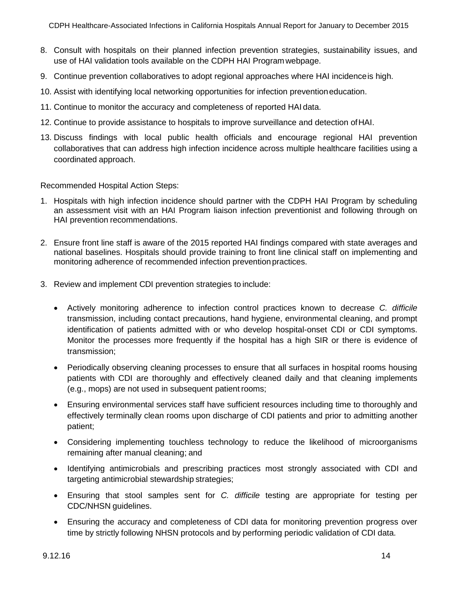- 8. Consult with hospitals on their planned infection prevention strategies, sustainability issues, and use of HAI validation tools available on the CDPH HAI Program webpage.
- 9. Continue prevention collaboratives to adopt regional approaches where HAI incidenceis high.
- 10. Assist with identifying local networking opportunities for infection preventioneducation.
- 11. Continue to monitor the accuracy and completeness of reported HAI data.
- 12. Continue to provide assistance to hospitals to improve surveillance and detection ofHAI.
- 13. Discuss findings with local public health officials and encourage regional HAI prevention collaboratives that can address high infection incidence across multiple healthcare facilities using a coordinated approach.

Recommended Hospital Action Steps:

- 1. Hospitals with high infection incidence should partner with the CDPH HAI Program by scheduling an assessment visit with an HAI Program liaison infection preventionist and following through on HAI prevention recommendations.
- 2. Ensure front line staff is aware of the 2015 reported HAI findings compared with state averages and national baselines. Hospitals should provide training to front line clinical staff on implementing and monitoring adherence of recommended infection prevention practices.
- 3. Review and implement CDI prevention strategies to include:
	- Actively monitoring adherence to infection control practices known to decrease *C. difficile*  transmission, including contact precautions, hand hygiene, environmental cleaning, and prompt identification of patients admitted with or who develop hospital-onset CDI or CDI symptoms. Monitor the processes more frequently if the hospital has a high SIR or there is evidence of transmission;
	- Periodically observing cleaning processes to ensure that all surfaces in hospital rooms housing patients with CDI are thoroughly and effectively cleaned daily and that cleaning implements (e.g., mops) are not used in subsequent patient rooms;
	- Ensuring environmental services staff have sufficient resources including time to thoroughly and effectively terminally clean rooms upon discharge of CDI patients and prior to admitting another patient;
	- Considering implementing touchless technology to reduce the likelihood of microorganisms remaining after manual cleaning; and
	- Identifying antimicrobials and prescribing practices most strongly associated with CDI and targeting antimicrobial stewardship strategies;
	- Ensuring that stool samples sent for *C. difficile* testing are appropriate for testing per CDC/NHSN guidelines.
	- Ensuring the accuracy and completeness of CDI data for monitoring prevention progress over time by strictly following NHSN protocols and by performing periodic validation of CDI data.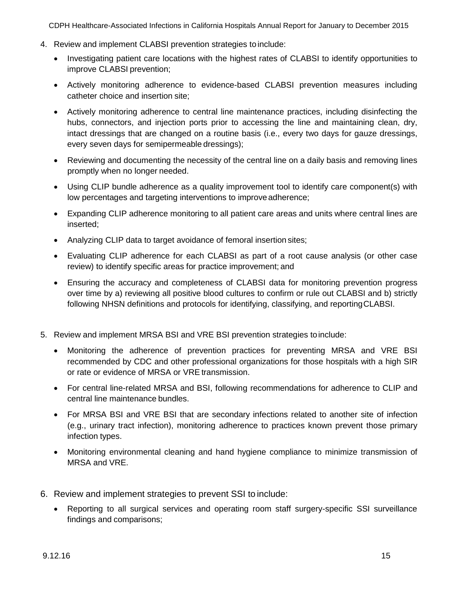- 4. Review and implement CLABSI prevention strategies to include:
	- Investigating patient care locations with the highest rates of CLABSI to identify opportunities to improve CLABSI prevention;
	- Actively monitoring adherence to evidence-based CLABSI prevention measures including catheter choice and insertion site;
	- Actively monitoring adherence to central line maintenance practices, including disinfecting the hubs, connectors, and injection ports prior to accessing the line and maintaining clean, dry, intact dressings that are changed on a routine basis (i.e., every two days for gauze dressings, every seven days for semipermeable dressings);
	- Reviewing and documenting the necessity of the central line on a daily basis and removing lines promptly when no longer needed.
	- Using CLIP bundle adherence as a quality improvement tool to identify care component(s) with low percentages and targeting interventions to improve adherence;
	- Expanding CLIP adherence monitoring to all patient care areas and units where central lines are inserted;
	- Analyzing CLIP data to target avoidance of femoral insertion sites;
	- Evaluating CLIP adherence for each CLABSI as part of a root cause analysis (or other case review) to identify specific areas for practice improvement; and
	- Ensuring the accuracy and completeness of CLABSI data for monitoring prevention progress over time by a) reviewing all positive blood cultures to confirm or rule out CLABSI and b) strictly following NHSN definitions and protocols for identifying, classifying, and reportingCLABSI.
- 5. Review and implement MRSA BSI and VRE BSI prevention strategies toinclude:
	- Monitoring the adherence of prevention practices for preventing MRSA and VRE BSI recommended by CDC and other professional organizations for those hospitals with a high SIR or rate or evidence of MRSA or VRE transmission.
	- For central line-related MRSA and BSI, following recommendations for adherence to CLIP and central line maintenance bundles.
	- For MRSA BSI and VRE BSI that are secondary infections related to another site of infection (e.g., urinary tract infection), monitoring adherence to practices known prevent those primary infection types.
	- Monitoring environmental cleaning and hand hygiene compliance to minimize transmission of MRSA and VRE.
- 6. Review and implement strategies to prevent SSI to include:
	- Reporting to all surgical services and operating room staff surgery-specific SSI surveillance findings and comparisons;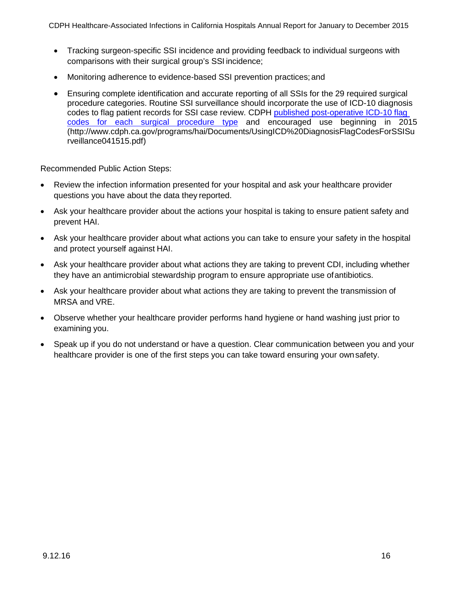- Tracking surgeon-specific SSI incidence and providing feedback to individual surgeons with comparisons with their surgical group's SSI incidence;
- Monitoring adherence to evidence-based SSI prevention practices; and
- Ensuring complete identification and accurate reporting of all SSIs for the 29 required surgical procedure categories. Routine SSI surveillance should incorporate the use of ICD-10 diagnosis codes to flag patient records for SSI case review. CDPH [published post-operative ICD-10 flag](http://www.archive.cdph.ca.gov/programs/hai/Documents/UsingICD%20DiagnosisFlagCodesForSSISurveillance041515.pdf)  codes for each surgical [procedure](http://www.archive.cdph.ca.gov/programs/hai/Documents/UsingICD%20DiagnosisFlagCodesForSSISurveillance041515.pdf) type and encouraged use beginning in 2015 (http://www.cdph.ca.gov/programs/hai/Documents/UsingICD%20DiagnosisFlagCodesForSSIS[u](http://www.cdph.ca.gov/programs/hai/Documents/UsingICD%20DiagnosisFlagCodesForSSISurveillance041515.pdf) [rveillance041515.pdf\)](http://www.cdph.ca.gov/programs/hai/Documents/UsingICD%20DiagnosisFlagCodesForSSISurveillance041515.pdf)

Recommended Public Action Steps:

- Review the infection information presented for your hospital and ask your healthcare provider questions you have about the data they reported.
- Ask your healthcare provider about the actions your hospital is taking to ensure patient safety and prevent HAI.
- Ask your healthcare provider about what actions you can take to ensure your safety in the hospital and protect yourself against HAI.
- Ask your healthcare provider about what actions they are taking to prevent CDI, including whether they have an antimicrobial stewardship program to ensure appropriate use ofantibiotics.
- Ask your healthcare provider about what actions they are taking to prevent the transmission of MRSA and VRE.
- Observe whether your healthcare provider performs hand hygiene or hand washing just prior to examining you.
- Speak up if you do not understand or have a question. Clear communication between you and your healthcare provider is one of the first steps you can take toward ensuring your ownsafety.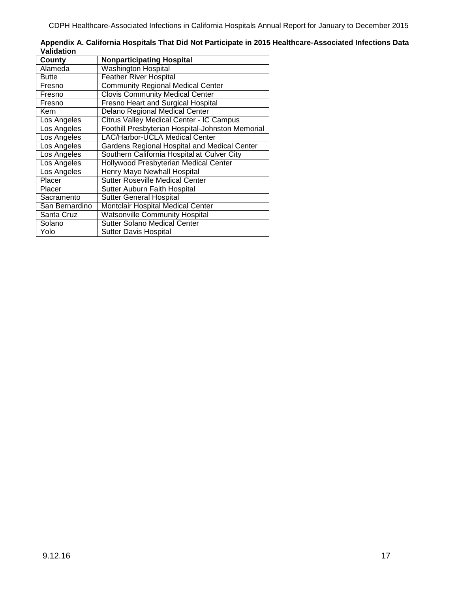|            | Appendix A. California Hospitals That Did Not Participate in 2015 Healthcare-Associated Infections Data |  |
|------------|---------------------------------------------------------------------------------------------------------|--|
| Validation |                                                                                                         |  |
| County     | <b>Nonparticipating Hospital</b>                                                                        |  |

| County         | <b>Nonparticipating Hospital</b>                 |
|----------------|--------------------------------------------------|
| Alameda        | <b>Washington Hospital</b>                       |
| <b>Butte</b>   | <b>Feather River Hospital</b>                    |
| Fresno         | <b>Community Regional Medical Center</b>         |
| Fresno         | <b>Clovis Community Medical Center</b>           |
| Fresno         | <b>Fresno Heart and Surgical Hospital</b>        |
| Kern           | <b>Delano Regional Medical Center</b>            |
| Los Angeles    | <b>Citrus Valley Medical Center - IC Campus</b>  |
| Los Angeles    | Foothill Presbyterian Hospital-Johnston Memorial |
| Los Angeles    | LAC/Harbor-UCLA Medical Center                   |
| Los Angeles    | Gardens Regional Hospital and Medical Center     |
| Los Angeles    | Southern California Hospital at Culver City      |
| Los Angeles    | Hollywood Presbyterian Medical Center            |
| Los Angeles    | Henry Mayo Newhall Hospital                      |
| Placer         | <b>Sutter Roseville Medical Center</b>           |
| Placer         | Sutter Auburn Faith Hospital                     |
| Sacramento     | <b>Sutter General Hospital</b>                   |
| San Bernardino | Montclair Hospital Medical Center                |
| Santa Cruz     | <b>Watsonville Community Hospital</b>            |
| Solano         | <b>Sutter Solano Medical Center</b>              |
| Yolo           | <b>Sutter Davis Hospital</b>                     |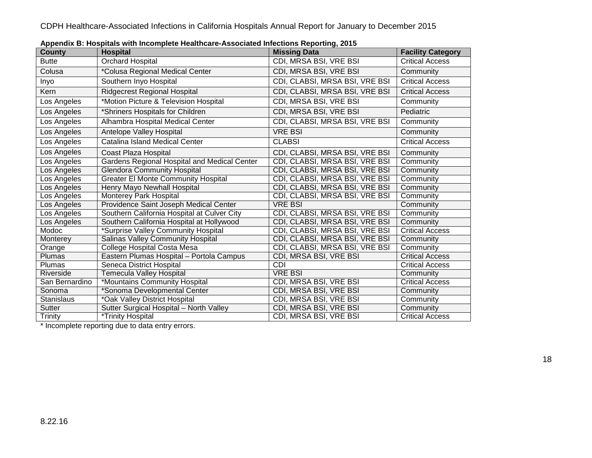| .<br><b>County</b> | <b>Hospital</b>                              | <b>Missing Data</b>            | <b>Facility Category</b> |
|--------------------|----------------------------------------------|--------------------------------|--------------------------|
| <b>Butte</b>       | Orchard Hospital                             | CDI, MRSA BSI, VRE BSI         | <b>Critical Access</b>   |
| Colusa             | *Colusa Regional Medical Center              | CDI, MRSA BSI, VRE BSI         | Community                |
| Inyo               | Southern Inyo Hospital                       | CDI, CLABSI, MRSA BSI, VRE BSI | <b>Critical Access</b>   |
| <b>Kern</b>        | <b>Ridgecrest Regional Hospital</b>          | CDI, CLABSI, MRSA BSI, VRE BSI | <b>Critical Access</b>   |
| Los Angeles        | *Motion Picture & Television Hospital        | CDI, MRSA BSI, VRE BSI         | Community                |
| Los Angeles        | *Shriners Hospitals for Children             | CDI, MRSA BSI, VRE BSI         | Pediatric                |
| Los Angeles        | Alhambra Hospital Medical Center             | CDI, CLABSI, MRSA BSI, VRE BSI | Community                |
| Los Angeles        | Antelope Valley Hospital                     | <b>VRE BSI</b>                 | Community                |
| Los Angeles        | Catalina Island Medical Center               | <b>CLABSI</b>                  | <b>Critical Access</b>   |
| Los Angeles        | Coast Plaza Hospital                         | CDI, CLABSI, MRSA BSI, VRE BSI | Community                |
| Los Angeles        | Gardens Regional Hospital and Medical Center | CDI, CLABSI, MRSA BSI, VRE BSI | Community                |
| Los Angeles        | <b>Glendora Community Hospital</b>           | CDI, CLABSI, MRSA BSI, VRE BSI | Community                |
| Los Angeles        | <b>Greater El Monte Community Hospital</b>   | CDI, CLABSI, MRSA BSI, VRE BSI | Community                |
| Los Angeles        | Henry Mayo Newhall Hospital                  | CDI, CLABSI, MRSA BSI, VRE BSI | Community                |
| Los Angeles        | Monterey Park Hospital                       | CDI, CLABSI, MRSA BSI, VRE BSI | Community                |
| Los Angeles        | Providence Saint Joseph Medical Center       | VRE BSI                        | Community                |
| Los Angeles        | Southern California Hospital at Culver City  | CDI, CLABSI, MRSA BSI, VRE BSI | Community                |
| Los Angeles        | Southern California Hospital at Hollywood    | CDI, CLABSI, MRSA BSI, VRE BSI | Community                |
| Modoc              | *Surprise Valley Community Hospital          | CDI, CLABSI, MRSA BSI, VRE BSI | <b>Critical Access</b>   |
| Monterey           | <b>Salinas Valley Community Hospital</b>     | CDI, CLABSI, MRSA BSI, VRE BSI | Community                |
| Orange             | College Hospital Costa Mesa                  | CDI, CLABSI, MRSA BSI, VRE BSI | Community                |
| <b>Plumas</b>      | Eastern Plumas Hospital - Portola Campus     | CDI, MRSA BSI, VRE BSI         | <b>Critical Access</b>   |
| Plumas             | Seneca District Hospital                     | CDI                            | <b>Critical Access</b>   |
| Riverside          | <b>Temecula Valley Hospital</b>              | <b>VRE BSI</b>                 | Community                |
| San Bernardino     | *Mountains Community Hospital                | CDI, MRSA BSI, VRE BSI         | <b>Critical Access</b>   |
| Sonoma             | *Sonoma Developmental Center                 | CDI, MRSA BSI, VRE BSI         | Community                |
| Stanislaus         | *Oak Valley District Hospital                | CDI, MRSA BSI, VRE BSI         | Community                |
| Sutter             | Sutter Surgical Hospital - North Valley      | CDI, MRSA BSI, VRE BSI         | Community                |
| <b>Trinity</b>     | *Trinity Hospital                            | CDI, MRSA BSI, VRE BSI         | <b>Critical Access</b>   |

**Appendix B: Hospitals with Incomplete Healthcare-Associated Infections Reporting, 2015**

\* Incomplete reporting due to data entry errors.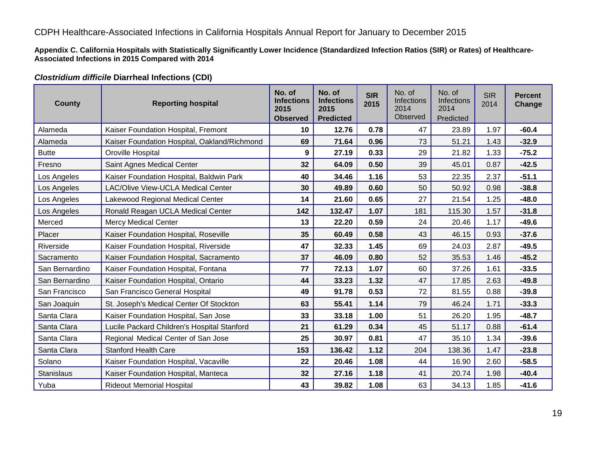**Appendix C. California Hospitals with Statistically Significantly Lower Incidence (Standardized Infection Ratios (SIR) or Rates) of Healthcare-Associated Infections in 2015 Compared with 2014**

### *Clostridium difficile* **Diarrheal Infections (CDI)**

| County            | <b>Reporting hospital</b>                    | No. of<br>No. of<br><b>Infections</b><br><b>Infections</b><br>2015<br>2015<br><b>Predicted</b><br><b>Observed</b> |        | <b>SIR</b><br>2015 | No. of<br>Infections<br>2014<br>Observed | No. of<br>Infections<br>2014<br>Predicted | <b>SIR</b><br>2014 | <b>Percent</b><br>Change |
|-------------------|----------------------------------------------|-------------------------------------------------------------------------------------------------------------------|--------|--------------------|------------------------------------------|-------------------------------------------|--------------------|--------------------------|
| Alameda           | Kaiser Foundation Hospital, Fremont          | 10                                                                                                                | 12.76  | 0.78               | 47                                       | 23.89                                     | 1.97               | $-60.4$                  |
| Alameda           | Kaiser Foundation Hospital, Oakland/Richmond | 69                                                                                                                | 71.64  | 0.96               | 73                                       | 51.21                                     | 1.43               | $-32.9$                  |
| <b>Butte</b>      | Oroville Hospital                            | 9                                                                                                                 | 27.19  | 0.33               | 29                                       | 21.82                                     | 1.33               | $-75.2$                  |
| Fresno            | Saint Agnes Medical Center                   | 32                                                                                                                | 64.09  | 0.50               | 39                                       | 45.01                                     | 0.87               | $-42.5$                  |
| Los Angeles       | Kaiser Foundation Hospital, Baldwin Park     | 40                                                                                                                | 34.46  | 1.16               | 53                                       | 22.35                                     | 2.37               | $-51.1$                  |
| Los Angeles       | <b>LAC/Olive View-UCLA Medical Center</b>    | 30                                                                                                                | 49.89  | 0.60               | 50                                       | 50.92                                     | 0.98               | $-38.8$                  |
| Los Angeles       | Lakewood Regional Medical Center             | 14                                                                                                                | 21.60  | 0.65               | 27                                       | 21.54                                     | 1.25               | $-48.0$                  |
| Los Angeles       | Ronald Reagan UCLA Medical Center            | 142                                                                                                               | 132.47 | 1.07               | 181                                      | 115.30                                    | 1.57               | $-31.8$                  |
| Merced            | <b>Mercy Medical Center</b>                  | 13                                                                                                                | 22.20  | 0.59               | 24                                       | 20.46                                     | 1.17               | $-49.6$                  |
| Placer            | Kaiser Foundation Hospital, Roseville        | 35                                                                                                                | 60.49  |                    | 43                                       | 46.15                                     | 0.93               | $-37.6$                  |
| Riverside         | Kaiser Foundation Hospital, Riverside        | 47                                                                                                                | 32.33  | 1.45               | 69                                       | 24.03                                     | 2.87               | $-49.5$                  |
| Sacramento        | Kaiser Foundation Hospital, Sacramento       | 37                                                                                                                | 46.09  | 0.80               | 52                                       | 35.53                                     | 1.46               | $-45.2$                  |
| San Bernardino    | Kaiser Foundation Hospital, Fontana          | 77                                                                                                                | 72.13  | 1.07               | 60                                       | 37.26                                     | 1.61               | $-33.5$                  |
| San Bernardino    | Kaiser Foundation Hospital, Ontario          | 44                                                                                                                | 33.23  | 1.32               | 47                                       | 17.85                                     | 2.63               | $-49.8$                  |
| San Francisco     | San Francisco General Hospital               | 49                                                                                                                | 91.78  | 0.53               | 72                                       | 81.55                                     | 0.88               | $-39.8$                  |
| San Joaquin       | St. Joseph's Medical Center Of Stockton      | 63                                                                                                                | 55.41  | 1.14               | 79                                       | 46.24                                     | 1.71               | $-33.3$                  |
| Santa Clara       | Kaiser Foundation Hospital, San Jose         | 33                                                                                                                | 33.18  | 1.00               | 51                                       | 26.20                                     | 1.95               | $-48.7$                  |
| Santa Clara       | Lucile Packard Children's Hospital Stanford  | 21                                                                                                                | 61.29  | 0.34               | 45                                       | 51.17                                     | 0.88               | $-61.4$                  |
| Santa Clara       | Regional Medical Center of San Jose          | 25                                                                                                                | 30.97  | 0.81               | 47                                       | 35.10                                     | 1.34               | $-39.6$                  |
| Santa Clara       | <b>Stanford Health Care</b>                  | 153                                                                                                               | 136.42 | 1.12               | 204                                      | 138.36                                    | 1.47               | $-23.8$                  |
| Solano            | Kaiser Foundation Hospital, Vacaville        | 22                                                                                                                | 20.46  | 1.08               | 44                                       | 16.90                                     | 2.60               | $-58.5$                  |
| <b>Stanislaus</b> | Kaiser Foundation Hospital, Manteca          | 32                                                                                                                | 27.16  | 1.18               | 41                                       | 20.74                                     | 1.98               | $-40.4$                  |
| Yuba              | <b>Rideout Memorial Hospital</b>             | 43                                                                                                                | 39.82  | 1.08               | 63                                       | 34.13                                     | 1.85               | $-41.6$                  |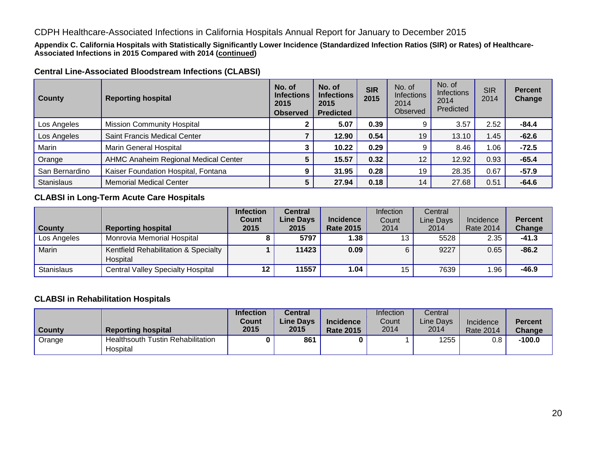**Appendix C. California Hospitals with Statistically Significantly Lower Incidence (Standardized Infection Ratios (SIR) or Rates) of Healthcare-Associated Infections in 2015 Compared with 2014 (continued)**

### **Central Line-Associated Bloodstream Infections (CLABSI)**

| <b>County</b>     | <b>Reporting hospital</b>            | No. of<br><b>Infections</b><br>2015<br><b>Observed</b> | No. of<br><b>Infections</b><br>2015<br><b>Predicted</b> | <b>SIR</b><br>2015 | No. of<br><b>Infections</b><br>2014<br>Observed | No. of<br><b>Infections</b><br>2014<br>Predicted | <b>SIR</b><br>2014 | <b>Percent</b><br>Change |
|-------------------|--------------------------------------|--------------------------------------------------------|---------------------------------------------------------|--------------------|-------------------------------------------------|--------------------------------------------------|--------------------|--------------------------|
| Los Angeles       | <b>Mission Community Hospital</b>    |                                                        | 5.07                                                    | 0.39               |                                                 | 3.57                                             | 2.52               | $-84.4$                  |
| Los Angeles       | Saint Francis Medical Center         |                                                        | 12.90                                                   | 0.54               | 19                                              | 13.10                                            | 1.45               | $-62.6$                  |
| Marin             | <b>Marin General Hospital</b>        |                                                        | 10.22                                                   | 0.29               |                                                 | 8.46                                             | .06،               | $-72.5$                  |
| Orange            | AHMC Anaheim Regional Medical Center |                                                        | 15.57                                                   | 0.32               | 12                                              | 12.92                                            | 0.93               | $-65.4$                  |
| San Bernardino    | Kaiser Foundation Hospital, Fontana  |                                                        | 31.95                                                   | 0.28               | 19                                              | 28.35                                            | 0.67               | $-57.9$                  |
| <b>Stanislaus</b> | <b>Memorial Medical Center</b>       |                                                        | 27.94                                                   | 0.18               | 14                                              | 27.68                                            | 0.51               | $-64.6$                  |

### **CLABSI in Long-Term Acute Care Hospitals**

| County            | <b>Reporting hospital</b>                        | <b>Infection</b><br><b>Count</b><br>2015 | Central<br><b>Line Days</b><br>2015 | <b>Incidence</b><br><b>Rate 2015</b> | <b>Infection</b><br>Count<br>2014 | Central<br>Line Days<br>2014 | Incidence<br><b>Rate 2014</b> | <b>Percent</b><br>Change |
|-------------------|--------------------------------------------------|------------------------------------------|-------------------------------------|--------------------------------------|-----------------------------------|------------------------------|-------------------------------|--------------------------|
| Los Angeles       | Monrovia Memorial Hospital                       |                                          | 5797                                | 1.38                                 | 13 <sub>1</sub>                   | 5528                         | 2.35                          | $-41.3$                  |
| Marin             | Kentfield Rehabilitation & Specialty<br>Hospital |                                          | 11423                               | 0.09                                 | 6                                 | 9227                         | 0.65                          | $-86.2$                  |
| <b>Stanislaus</b> | <b>Central Valley Specialty Hospital</b>         | 12                                       | 11557                               | 1.04                                 | 15                                | 7639                         | 1.96                          | $-46.9$                  |

### **CLABSI in Rehabilitation Hospitals**

|        |                                          | <b>Infection</b> | Central          |                  | Infection | Central   |                  |               |
|--------|------------------------------------------|------------------|------------------|------------------|-----------|-----------|------------------|---------------|
|        |                                          | Count            | <b>Line Davs</b> | <b>Incidence</b> | Count     | Line Davs | Incidence        | Percent       |
| County | <b>Reporting hospital</b>                | 2015             | 2015             | <b>Rate 2015</b> | 2014      | 2014      | <b>Rate 2014</b> | <b>Change</b> |
| Orange | <b>Healthsouth Tustin Rehabilitation</b> |                  | 861              |                  |           | 1255      | 0.8              | $-100.0$      |
|        | Hospital                                 |                  |                  |                  |           |           |                  |               |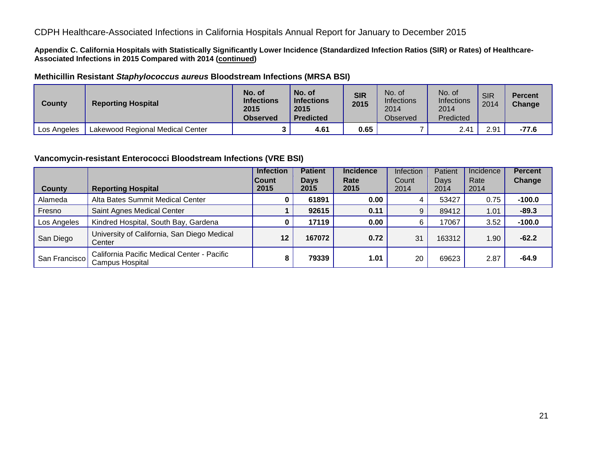**Appendix C. California Hospitals with Statistically Significantly Lower Incidence (Standardized Infection Ratios (SIR) or Rates) of Healthcare-Associated Infections in 2015 Compared with 2014 (continued)**

### **Methicillin Resistant** *Staphylococcus aureus* **Bloodstream Infections (MRSA BSI)**

| County      | <b>Reporting Hospital</b>        | No. of<br><b>Infections</b><br>2015<br><b>Observed</b> | No. of<br><b>Infections</b><br>2015<br><b>Predicted</b> | <b>SIR</b><br>2015 | No. of<br>Infections<br>2014<br><b>Observed</b> | No. of<br>Infections<br>2014<br>Predicted | <b>SIR</b><br>2014 | <b>Percent</b><br>Change |
|-------------|----------------------------------|--------------------------------------------------------|---------------------------------------------------------|--------------------|-------------------------------------------------|-------------------------------------------|--------------------|--------------------------|
| Los Angeles | Lakewood Regional Medical Center |                                                        | 4.61                                                    | 0.65               |                                                 | 2.41                                      | 2.91               | $-77.6$                  |

### **Vancomycin-resistant Enterococci Bloodstream Infections (VRE BSI)**

|               |                                                                | <b>Infection</b><br><b>Count</b><br>2015 | <b>Patient</b><br><b>Days</b><br>2015 | <b>Incidence</b><br>Rate<br>2015 | Infection<br>Count | Patient<br>Days | Incidence<br>Rate | <b>Percent</b><br>Change |
|---------------|----------------------------------------------------------------|------------------------------------------|---------------------------------------|----------------------------------|--------------------|-----------------|-------------------|--------------------------|
| <b>County</b> | <b>Reporting Hospital</b>                                      |                                          |                                       |                                  | 2014               | 2014            | 2014              |                          |
| Alameda       | Alta Bates Summit Medical Center                               | 0                                        | 61891                                 | 0.00                             |                    | 53427           | 0.75              | $-100.0$                 |
| Fresno        | Saint Agnes Medical Center                                     |                                          | 92615                                 | 0.11                             | 9                  | 89412           | 1.01              | $-89.3$                  |
| Los Angeles   | Kindred Hospital, South Bay, Gardena                           | 0                                        | 17119                                 | 0.00                             | 6                  | 17067           | 3.52              | $-100.0$                 |
| San Diego     | University of California, San Diego Medical<br>Center          | 12                                       | 167072                                | 0.72                             | 31                 | 163312          | 1.90              | $-62.2$                  |
| San Francisco | California Pacific Medical Center - Pacific<br>Campus Hospital | 8                                        | 79339                                 | 1.01                             | 20                 | 69623           | 2.87              | $-64.9$                  |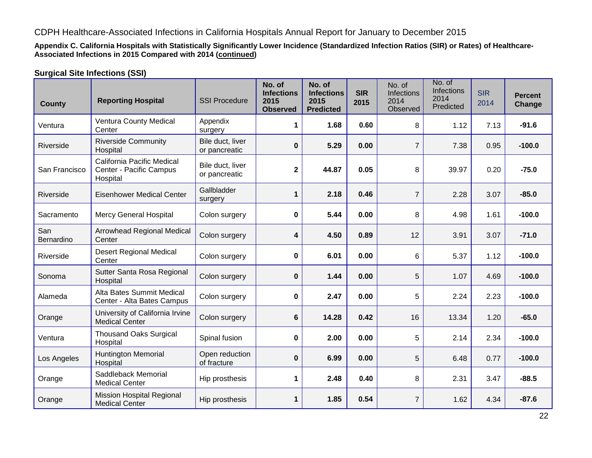**Appendix C. California Hospitals with Statistically Significantly Lower Incidence (Standardized Infection Ratios (SIR) or Rates) of Healthcare-Associated Infections in 2015 Compared with 2014 (continued)**

### **Surgical Site Infections (SSI)**

| <b>County</b>     | <b>Reporting Hospital</b>                                         | <b>SSI Procedure</b>              | No. of<br><b>Infections</b><br>2015<br><b>Observed</b> | No. of<br><b>Infections</b><br>2015<br><b>Predicted</b> | <b>SIR</b><br>2015 | No. of<br><b>Infections</b><br>2014<br>Observed | No. of<br><b>Infections</b><br>2014<br>Predicted | <b>SIR</b><br>2014 | <b>Percent</b><br>Change |
|-------------------|-------------------------------------------------------------------|-----------------------------------|--------------------------------------------------------|---------------------------------------------------------|--------------------|-------------------------------------------------|--------------------------------------------------|--------------------|--------------------------|
| Ventura           | <b>Ventura County Medical</b><br>Center                           | Appendix<br>surgery               | 1                                                      | 1.68                                                    | 0.60               | 8                                               | 1.12                                             | 7.13               | $-91.6$                  |
| Riverside         | <b>Riverside Community</b><br>Hospital                            | Bile duct, liver<br>or pancreatic | $\mathbf 0$                                            | 5.29                                                    | 0.00               | $\overline{7}$                                  | 7.38                                             | 0.95               | $-100.0$                 |
| San Francisco     | California Pacific Medical<br>Center - Pacific Campus<br>Hospital | Bile duct, liver<br>or pancreatic | $\mathbf 2$                                            | 44.87<br>0.05                                           |                    | 8                                               | 39.97                                            | 0.20               | $-75.0$                  |
| Riverside         | <b>Eisenhower Medical Center</b>                                  | Gallbladder<br>surgery            | 1                                                      | 2.18                                                    | 0.46               | $\overline{7}$                                  | 2.28                                             | 3.07               | $-85.0$                  |
| Sacramento        | <b>Mercy General Hospital</b>                                     | Colon surgery                     | 0                                                      | 5.44<br>0.00                                            |                    | 8                                               | 4.98                                             | 1.61               | $-100.0$                 |
| San<br>Bernardino | Arrowhead Regional Medical<br>Center                              | Colon surgery                     | 4                                                      | 4.50                                                    | 0.89               | 12                                              | 3.91                                             | 3.07               | $-71.0$                  |
| Riverside         | <b>Desert Regional Medical</b><br>Center                          | Colon surgery                     | 0                                                      | 6.01                                                    | 0.00               | 6                                               | 5.37                                             | 1.12               | $-100.0$                 |
| Sonoma            | Sutter Santa Rosa Regional<br>Hospital                            | Colon surgery                     | 0                                                      | 1.44                                                    | 0.00               | 5                                               | 1.07                                             | 4.69               | $-100.0$                 |
| Alameda           | Alta Bates Summit Medical<br>Center - Alta Bates Campus           | Colon surgery                     | 0                                                      | 2.47                                                    | 0.00               | 5                                               | 2.24                                             | 2.23               | $-100.0$                 |
| Orange            | University of California Irvine<br><b>Medical Center</b>          | Colon surgery                     | 6                                                      | 14.28                                                   | 0.42               | 16                                              | 13.34                                            | 1.20               | $-65.0$                  |
| Ventura           | <b>Thousand Oaks Surgical</b><br>Hospital                         | Spinal fusion                     | 0                                                      | 2.00                                                    | 0.00               | 5                                               | 2.14                                             | 2.34               | $-100.0$                 |
| Los Angeles       | <b>Huntington Memorial</b><br>Hospital                            | Open reduction<br>of fracture     | $\bf{0}$                                               | 6.99                                                    | 0.00               | 5                                               | 6.48                                             | 0.77               | $-100.0$                 |
| Orange            | Saddleback Memorial<br><b>Medical Center</b>                      | Hip prosthesis                    | 1                                                      | 2.48                                                    | 0.40               | 8                                               | 2.31                                             | 3.47               | $-88.5$                  |
| Orange            | <b>Mission Hospital Regional</b><br><b>Medical Center</b>         | Hip prosthesis                    | $\mathbf 1$                                            | 1.85                                                    | 0.54               | $\overline{7}$                                  | 1.62                                             | 4.34               | $-87.6$                  |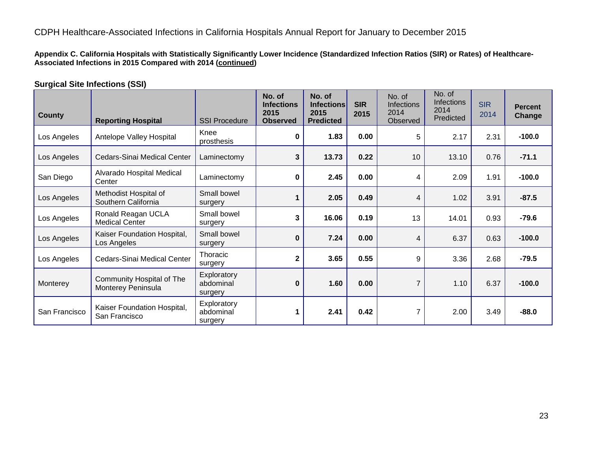**Appendix C. California Hospitals with Statistically Significantly Lower Incidence (Standardized Infection Ratios (SIR) or Rates) of Healthcare-Associated Infections in 2015 Compared with 2014 (continued)**

### **Surgical Site Infections (SSI)**

| <b>County</b> | <b>Reporting Hospital</b>                       | <b>SSI Procedure</b>                | No. of<br><b>Infections</b><br>2015<br><b>Observed</b> | No. of<br><b>Infections</b><br>2015<br><b>Predicted</b> | <b>SIR</b><br>2015 | No. of<br><b>Infections</b><br>2014<br>Observed | No. of<br><b>Infections</b><br>2014<br>Predicted | <b>SIR</b><br>2014 | <b>Percent</b><br><b>Change</b> |
|---------------|-------------------------------------------------|-------------------------------------|--------------------------------------------------------|---------------------------------------------------------|--------------------|-------------------------------------------------|--------------------------------------------------|--------------------|---------------------------------|
| Los Angeles   | Antelope Valley Hospital                        | Knee<br>prosthesis                  | 0                                                      | 1.83                                                    | 0.00               | 5                                               | 2.17                                             | 2.31               | $-100.0$                        |
| Los Angeles   | Cedars-Sinai Medical Center                     | Laminectomy                         | 3                                                      | 13.73                                                   | 0.22               | 10                                              | 13.10                                            | 0.76               | $-71.1$                         |
| San Diego     | Alvarado Hospital Medical<br>Center             | Laminectomy                         | 0                                                      | 2.45                                                    |                    | 4                                               | 2.09                                             | 1.91               | $-100.0$                        |
| Los Angeles   | Methodist Hospital of<br>Southern California    | Small bowel<br>surgery              | 1                                                      | 2.05                                                    | 0.49               | 4                                               | 1.02                                             | 3.91               | $-87.5$                         |
| Los Angeles   | Ronald Reagan UCLA<br><b>Medical Center</b>     | Small bowel<br>surgery              | 3                                                      | 16.06                                                   | 0.19               | 13                                              | 14.01                                            | 0.93               | $-79.6$                         |
| Los Angeles   | Kaiser Foundation Hospital,<br>Los Angeles      | Small bowel<br>surgery              | $\bf{0}$                                               | 7.24                                                    | 0.00               | 4                                               | 6.37                                             | 0.63               | $-100.0$                        |
| Los Angeles   | Cedars-Sinai Medical Center                     | <b>Thoracic</b><br>surgery          | $\overline{\mathbf{2}}$                                | 3.65                                                    | 0.55               | 9                                               | 3.36                                             | 2.68               | $-79.5$                         |
| Monterey      | Community Hospital of The<br>Monterey Peninsula | Exploratory<br>abdominal<br>surgery | $\bf{0}$                                               | 1.60                                                    | 0.00               | 7                                               | 1.10                                             | 6.37               | $-100.0$                        |
| San Francisco | Kaiser Foundation Hospital,<br>San Francisco    | Exploratory<br>abdominal<br>surgery | 1                                                      | 2.41                                                    | 0.42               | 7                                               | 2.00                                             | 3.49               | $-88.0$                         |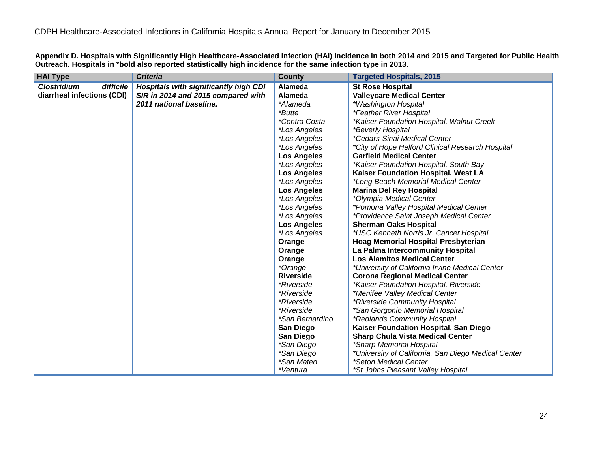**Appendix D. Hospitals with Significantly High Healthcare-Associated Infection (HAI) Incidence in both 2014 and 2015 and Targeted for Public Health Outreach. Hospitals in \*bold also reported statistically high incidence for the same infection type in 2013.**

| <b>HAI Type</b>                 | <b>Criteria</b>                       | County               | <b>Targeted Hospitals, 2015</b>                     |
|---------------------------------|---------------------------------------|----------------------|-----------------------------------------------------|
| <b>Clostridium</b><br>difficile | Hospitals with significantly high CDI | Alameda              | <b>St Rose Hospital</b>                             |
| diarrheal infections (CDI)      | SIR in 2014 and 2015 compared with    | Alameda              | <b>Valleycare Medical Center</b>                    |
|                                 | 2011 national baseline.               | *Alameda             | *Washington Hospital                                |
|                                 |                                       | <i>*Butte</i>        | <i>*Feather River Hospital</i>                      |
|                                 |                                       | <i>*Contra Costa</i> | *Kaiser Foundation Hospital, Walnut Creek           |
|                                 |                                       | *Los Angeles         | *Beverly Hospital                                   |
|                                 |                                       | *Los Angeles         | *Cedars-Sinai Medical Center                        |
|                                 |                                       | *Los Angeles         | *City of Hope Helford Clinical Research Hospital    |
|                                 |                                       | <b>Los Angeles</b>   | <b>Garfield Medical Center</b>                      |
|                                 |                                       | *Los Angeles         | *Kaiser Foundation Hospital, South Bay              |
|                                 |                                       | <b>Los Angeles</b>   | Kaiser Foundation Hospital, West LA                 |
|                                 |                                       | *Los Angeles         | *Long Beach Memorial Medical Center                 |
|                                 |                                       | <b>Los Angeles</b>   | <b>Marina Del Rey Hospital</b>                      |
|                                 |                                       | *Los Angeles         | *Olympia Medical Center                             |
|                                 |                                       | *Los Angeles         | *Pomona Valley Hospital Medical Center              |
|                                 |                                       | *Los Angeles         | *Providence Saint Joseph Medical Center             |
|                                 |                                       | <b>Los Angeles</b>   | <b>Sherman Oaks Hospital</b>                        |
|                                 |                                       | <i>*Los Angeles</i>  | *USC Kenneth Norris Jr. Cancer Hospital             |
|                                 |                                       | Orange               | <b>Hoag Memorial Hospital Presbyterian</b>          |
|                                 |                                       | Orange               | La Palma Intercommunity Hospital                    |
|                                 |                                       | Orange               | <b>Los Alamitos Medical Center</b>                  |
|                                 |                                       | *Orange              | *University of California Irvine Medical Center     |
|                                 |                                       | <b>Riverside</b>     | <b>Corona Regional Medical Center</b>               |
|                                 |                                       | <i>*Riverside</i>    | *Kaiser Foundation Hospital, Riverside              |
|                                 |                                       | <i>*Riverside</i>    | *Menifee Valley Medical Center                      |
|                                 |                                       | <i>*Riverside</i>    | *Riverside Community Hospital                       |
|                                 |                                       | <i>*Riverside</i>    | *San Gorgonio Memorial Hospital                     |
|                                 |                                       | *San Bernardino      | *Redlands Community Hospital                        |
|                                 |                                       | <b>San Diego</b>     | Kaiser Foundation Hospital, San Diego               |
|                                 |                                       | <b>San Diego</b>     | <b>Sharp Chula Vista Medical Center</b>             |
|                                 |                                       | *San Diego           | *Sharp Memorial Hospital                            |
|                                 |                                       | *San Diego           | *University of California, San Diego Medical Center |
|                                 |                                       | *San Mateo           | *Seton Medical Center                               |
|                                 |                                       | *Ventura             | *St Johns Pleasant Valley Hospital                  |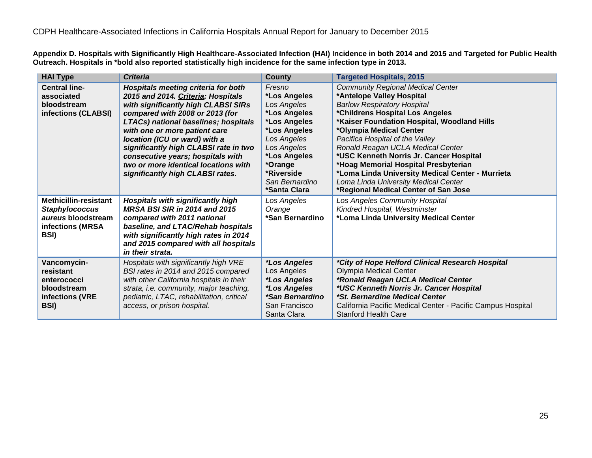**Appendix D. Hospitals with Significantly High Healthcare-Associated Infection (HAI) Incidence in both 2014 and 2015 and Targeted for Public Health Outreach. Hospitals in \*bold also reported statistically high incidence for the same infection type in 2013.**

| <b>HAI Type</b>                                                                                         | <b>Criteria</b>                                                                                                                                                                                                                                                                                                                                                                                                                | <b>County</b>                                                                                                                                                                                  | <b>Targeted Hospitals, 2015</b>                                                                                                                                                                                                                                                                                                                                                                                                                                                                                         |
|---------------------------------------------------------------------------------------------------------|--------------------------------------------------------------------------------------------------------------------------------------------------------------------------------------------------------------------------------------------------------------------------------------------------------------------------------------------------------------------------------------------------------------------------------|------------------------------------------------------------------------------------------------------------------------------------------------------------------------------------------------|-------------------------------------------------------------------------------------------------------------------------------------------------------------------------------------------------------------------------------------------------------------------------------------------------------------------------------------------------------------------------------------------------------------------------------------------------------------------------------------------------------------------------|
| <b>Central line-</b><br>associated<br>bloodstream<br>infections (CLABSI)                                | <b>Hospitals meeting criteria for both</b><br>2015 and 2014. Criteria: Hospitals<br>with significantly high CLABSI SIRs<br>compared with 2008 or 2013 (for<br>LTACs) national baselines; hospitals<br>with one or more patient care<br>location (ICU or ward) with a<br>significantly high CLABSI rate in two<br>consecutive years; hospitals with<br>two or more identical locations with<br>significantly high CLABSI rates. | Fresno<br>*Los Angeles<br>Los Angeles<br>*Los Angeles<br>*Los Angeles<br>*Los Angeles<br>Los Angeles<br>Los Angeles<br>*Los Angeles<br>*Orange<br>*Riverside<br>San Bernardino<br>*Santa Clara | <b>Community Regional Medical Center</b><br>*Antelope Valley Hospital<br><b>Barlow Respiratory Hospital</b><br>*Childrens Hospital Los Angeles<br>*Kaiser Foundation Hospital, Woodland Hills<br>*Olympia Medical Center<br>Pacifica Hospital of the Valley<br>Ronald Reagan UCLA Medical Center<br>*USC Kenneth Norris Jr. Cancer Hospital<br>*Hoag Memorial Hospital Presbyterian<br>*Loma Linda University Medical Center - Murrieta<br>Loma Linda University Medical Center<br>*Regional Medical Center of San Jose |
| <b>Methicillin-resistant</b><br><b>Staphylococcus</b><br>aureus bloodstream<br>infections (MRSA<br>BSI) | <b>Hospitals with significantly high</b><br><b>MRSA BSI SIR in 2014 and 2015</b><br>compared with 2011 national<br>baseline, and LTAC/Rehab hospitals<br>with significantly high rates in 2014<br>and 2015 compared with all hospitals<br>in their strata.                                                                                                                                                                     | Los Angeles<br>Orange<br>*San Bernardino                                                                                                                                                       | Los Angeles Community Hospital<br>Kindred Hospital, Westminster<br>*Loma Linda University Medical Center                                                                                                                                                                                                                                                                                                                                                                                                                |
| Vancomycin-<br>resistant<br>enterococci<br>bloodstream<br>infections (VRE<br>BSI)                       | Hospitals with significantly high VRE<br>BSI rates in 2014 and 2015 compared<br>with other California hospitals in their<br>strata, i.e. community, major teaching,<br>pediatric, LTAC, rehabilitation, critical<br>access, or prison hospital.                                                                                                                                                                                | <i><b>*Los Angeles</b></i><br>Los Angeles<br>*Los Angeles<br><i><b>*Los Angeles</b></i><br><i><b>*San Bernardino</b></i><br>San Francisco<br>Santa Clara                                       | *City of Hope Helford Clinical Research Hospital<br><b>Olympia Medical Center</b><br>*Ronald Reagan UCLA Medical Center<br>*USC Kenneth Norris Jr. Cancer Hospital<br>*St. Bernardine Medical Center<br>California Pacific Medical Center - Pacific Campus Hospital<br><b>Stanford Health Care</b>                                                                                                                                                                                                                      |